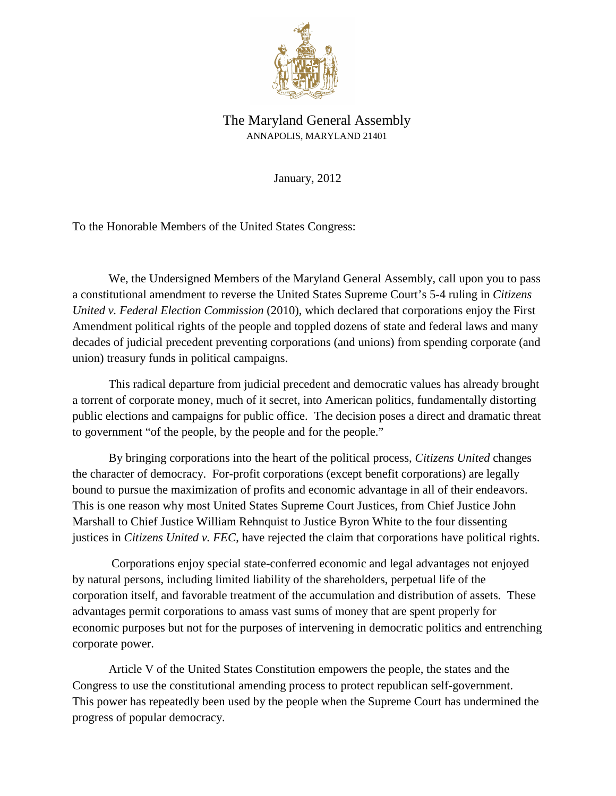

## The Maryland General Assembly ANNAPOLIS, MARYLAND 21401

January, 2012

To the Honorable Members of the United States Congress:

We, the Undersigned Members of the Maryland General Assembly, call upon you to pass a constitutional amendment to reverse the United States Supreme Court's 5-4 ruling in *Citizens United v. Federal Election Commission* (2010), which declared that corporations enjoy the First Amendment political rights of the people and toppled dozens of state and federal laws and many decades of judicial precedent preventing corporations (and unions) from spending corporate (and union) treasury funds in political campaigns.

This radical departure from judicial precedent and democratic values has already brought a torrent of corporate money, much of it secret, into American politics, fundamentally distorting public elections and campaigns for public office. The decision poses a direct and dramatic threat to government "of the people, by the people and for the people."

By bringing corporations into the heart of the political process, *Citizens United* changes the character of democracy. For-profit corporations (except benefit corporations) are legally bound to pursue the maximization of profits and economic advantage in all of their endeavors. This is one reason why most United States Supreme Court Justices, from Chief Justice John Marshall to Chief Justice William Rehnquist to Justice Byron White to the four dissenting justices in *Citizens United v. FEC*, have rejected the claim that corporations have political rights.

 Corporations enjoy special state-conferred economic and legal advantages not enjoyed by natural persons, including limited liability of the shareholders, perpetual life of the corporation itself, and favorable treatment of the accumulation and distribution of assets. These advantages permit corporations to amass vast sums of money that are spent properly for economic purposes but not for the purposes of intervening in democratic politics and entrenching corporate power.

Article V of the United States Constitution empowers the people, the states and the Congress to use the constitutional amending process to protect republican self-government. This power has repeatedly been used by the people when the Supreme Court has undermined the progress of popular democracy.